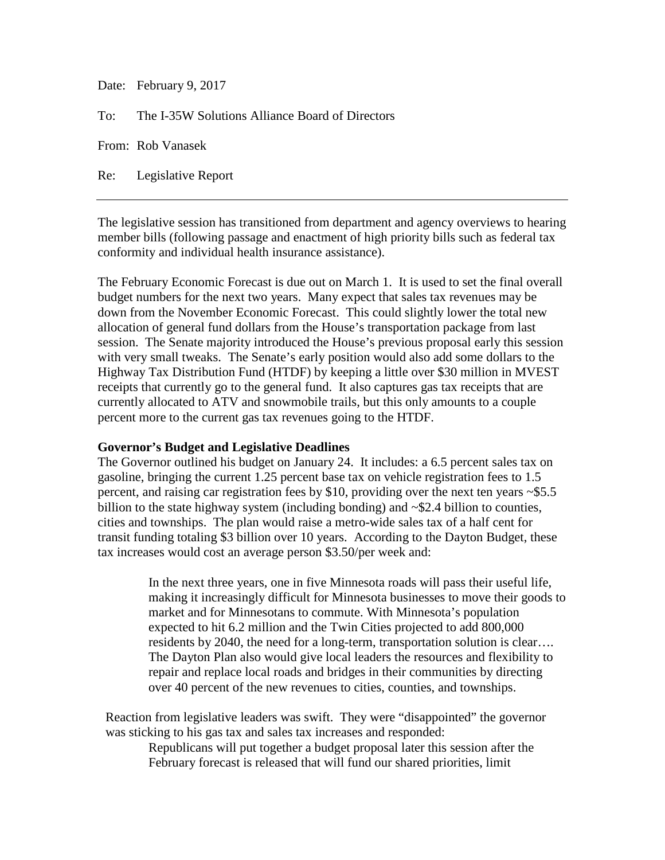Date: February 9, 2017

To: The I-35W Solutions Alliance Board of Directors

From: Rob Vanasek

Re: Legislative Report

The legislative session has transitioned from department and agency overviews to hearing member bills (following passage and enactment of high priority bills such as federal tax conformity and individual health insurance assistance).

The February Economic Forecast is due out on March 1. It is used to set the final overall budget numbers for the next two years. Many expect that sales tax revenues may be down from the November Economic Forecast. This could slightly lower the total new allocation of general fund dollars from the House's transportation package from last session. The Senate majority introduced the House's previous proposal early this session with very small tweaks. The Senate's early position would also add some dollars to the Highway Tax Distribution Fund (HTDF) by keeping a little over \$30 million in MVEST receipts that currently go to the general fund. It also captures gas tax receipts that are currently allocated to ATV and snowmobile trails, but this only amounts to a couple percent more to the current gas tax revenues going to the HTDF.

## **Governor's Budget and Legislative Deadlines**

The Governor outlined his budget on January 24. It includes: a 6.5 percent sales tax on gasoline, bringing the current 1.25 percent base tax on vehicle registration fees to 1.5 percent, and raising car registration fees by \$10, providing over the next ten years  $\sim$  \$5.5 billion to the state highway system (including bonding) and ~\$2.4 billion to counties, cities and townships. The plan would raise a metro-wide sales tax of a half cent for transit funding totaling \$3 billion over 10 years. According to the Dayton Budget, these tax increases would cost an average person \$3.50/per week and:

> In the next three years, one in five Minnesota roads will pass their useful life, making it increasingly difficult for Minnesota businesses to move their goods to market and for Minnesotans to commute. With Minnesota's population expected to hit 6.2 million and the Twin Cities projected to add 800,000 residents by 2040, the need for a long-term, transportation solution is clear…. The Dayton Plan also would give local leaders the resources and flexibility to repair and replace local roads and bridges in their communities by directing over 40 percent of the new revenues to cities, counties, and townships.

Reaction from legislative leaders was swift. They were "disappointed" the governor was sticking to his gas tax and sales tax increases and responded:

Republicans will put together a budget proposal later this session after the February forecast is released that will fund our shared priorities, limit